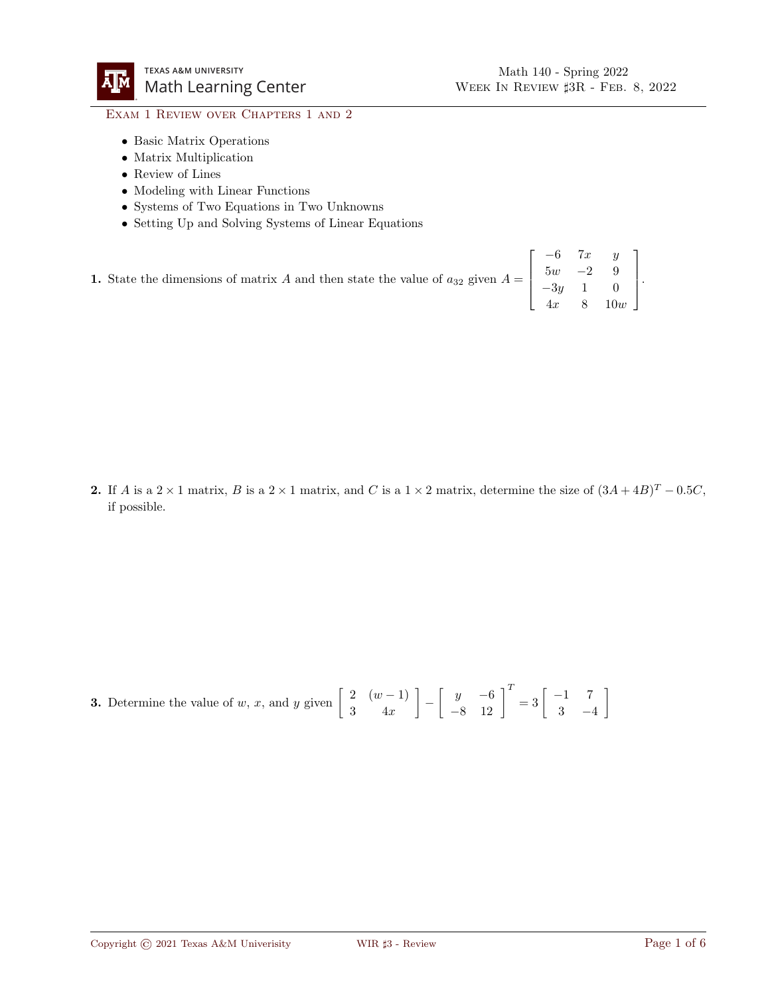## EXAM 1 REVIEW OVER CHAPTERS 1 AND 2

- Basic Matrix Operations
- Matrix Multiplication
- Review of Lines
- Modeling with Linear Functions
- Systems of Two Equations in Two Unknowns
- Setting Up and Solving Systems of Linear Equations

1. State the dimensions of matrix A and then state the value of  $a_{32}$  given  $A =$  $\lceil$  $\Big\}$  $-6$  7x y  $5w$   $-2$  9  $-3y$  1 0  $4x \quad 8 \quad 10w$ 1  $\Big\}$ .

2. If A is a 2 × 1 matrix, B is a 2 × 1 matrix, and C is a 1 × 2 matrix, determine the size of  $(3A + 4B)^{T} - 0.5C$ , if possible.

**3.** Determine the value of w, x, and y given  $\begin{bmatrix} 2 & (w-1) \\ 0 & 1 \end{bmatrix}$ 3 4x  $\begin{bmatrix} y & -6 \\ -8 & 12 \end{bmatrix}^T = 3 \begin{bmatrix} -1 & 7 \\ 3 & -4 \end{bmatrix}$ 3 −4 1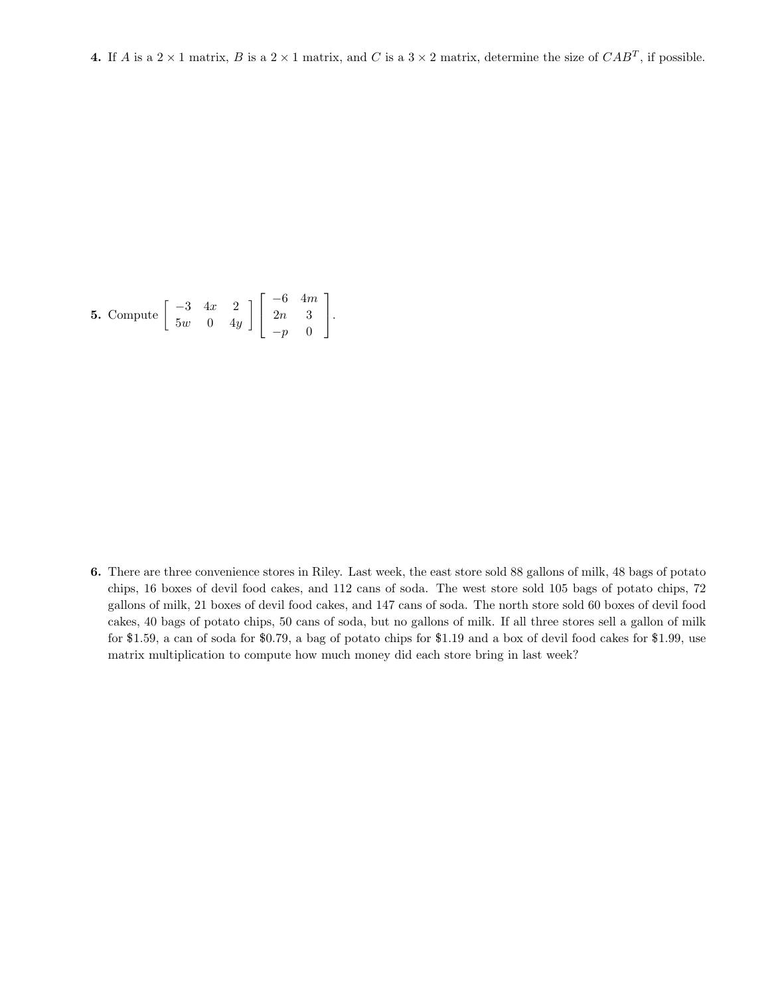**5.** Compute 
$$
\begin{bmatrix} -3 & 4x & 2 \\ 5w & 0 & 4y \end{bmatrix} \begin{bmatrix} -6 & 4m \\ 2n & 3 \\ -p & 0 \end{bmatrix}
$$
.

6. There are three convenience stores in Riley. Last week, the east store sold 88 gallons of milk, 48 bags of potato chips, 16 boxes of devil food cakes, and 112 cans of soda. The west store sold 105 bags of potato chips, 72 gallons of milk, 21 boxes of devil food cakes, and 147 cans of soda. The north store sold 60 boxes of devil food cakes, 40 bags of potato chips, 50 cans of soda, but no gallons of milk. If all three stores sell a gallon of milk for \$1.59, a can of soda for \$0.79, a bag of potato chips for \$1.19 and a box of devil food cakes for \$1.99, use matrix multiplication to compute how much money did each store bring in last week?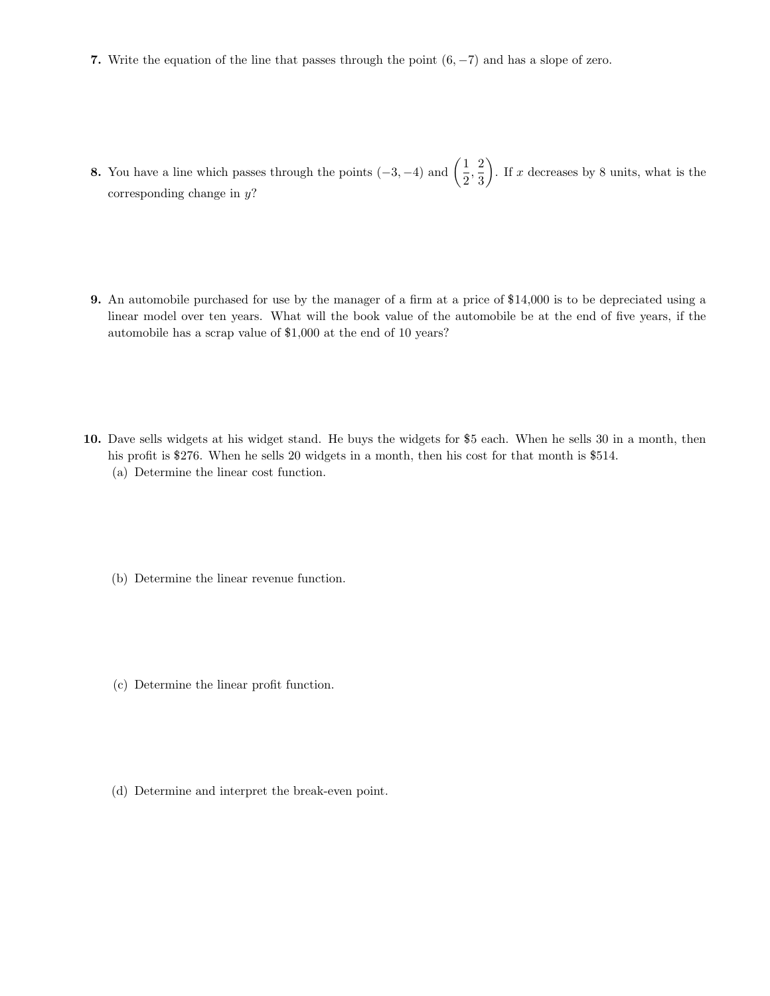- 7. Write the equation of the line that passes through the point  $(6, -7)$  and has a slope of zero.
- **8.** You have a line which passes through the points  $(-3, -4)$  and  $\left(\frac{1}{2}, -4\right)$  $\frac{1}{2},\frac{2}{3}$ 3 ). If x decreases by 8 units, what is the corresponding change in  $y$ ?
- 9. An automobile purchased for use by the manager of a firm at a price of \$14,000 is to be depreciated using a linear model over ten years. What will the book value of the automobile be at the end of five years, if the automobile has a scrap value of \$1,000 at the end of 10 years?
- 10. Dave sells widgets at his widget stand. He buys the widgets for \$5 each. When he sells 30 in a month, then his profit is \$276. When he sells 20 widgets in a month, then his cost for that month is \$514. (a) Determine the linear cost function.
	- (b) Determine the linear revenue function.
	- (c) Determine the linear profit function.
	- (d) Determine and interpret the break-even point.